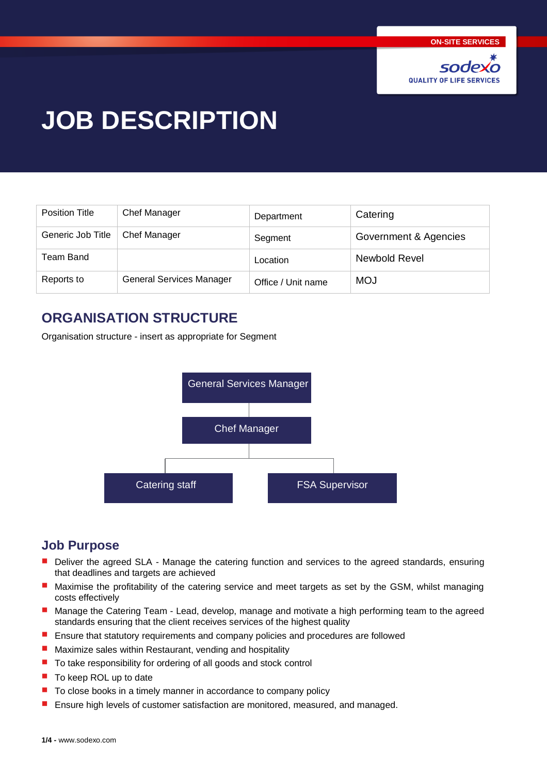

# **JOB DESCRIPTION**

| Position Title    | <b>Chef Manager</b>             | Department         | Catering              |
|-------------------|---------------------------------|--------------------|-----------------------|
| Generic Job Title | <b>Chef Manager</b>             | Segment            | Government & Agencies |
| Team Band         |                                 | Location           | Newbold Revel         |
| Reports to        | <b>General Services Manager</b> | Office / Unit name | <b>MOJ</b>            |

# **ORGANISATION STRUCTURE**

Organisation structure - insert as appropriate for Segment



## **Job Purpose**

- $\overline{\phantom{a}}$ Deliver the agreed SLA - Manage the catering function and services to the agreed standards, ensuring that deadlines and targets are achieved
- Maximise the profitability of the catering service and meet targets as set by the GSM, whilst managing costs effectively
- п Manage the Catering Team - Lead, develop, manage and motivate a high performing team to the agreed standards ensuring that the client receives services of the highest quality
- L. Ensure that statutory requirements and company policies and procedures are followed
- Ē. Maximize sales within Restaurant, vending and hospitality
- п To take responsibility for ordering of all goods and stock control
- п To keep ROL up to date
- To close books in a timely manner in accordance to company policy
- Ensure high levels of customer satisfaction are monitored, measured, and managed.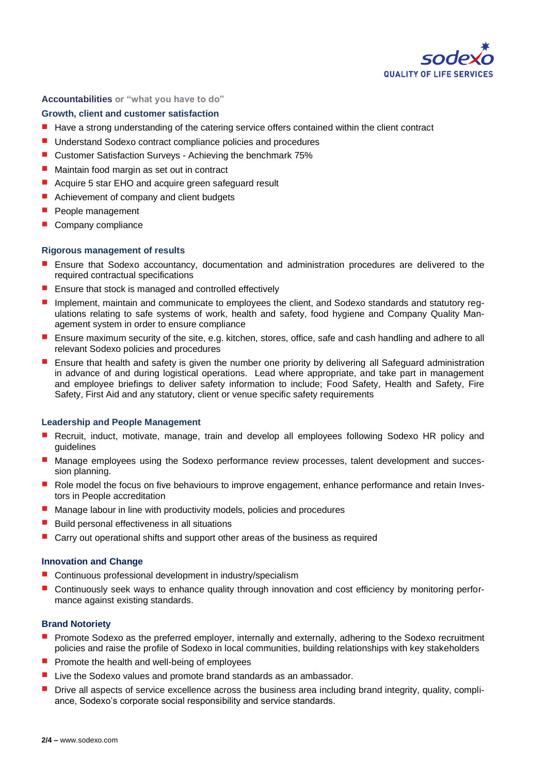

#### **Accountabilities or "what you have to do"**

#### **Growth, client and customer satisfaction**

- ш Have a strong understanding of the catering service offers contained within the client contract
- $\mathbf{r}$ Understand Sodexo contract compliance policies and procedures
- Customer Satisfaction Surveys Achieving the benchmark 75%
- $\mathcal{L}_{\mathcal{A}}$ Maintain food margin as set out in contract
- П Acquire 5 star EHO and acquire green safeguard result
- Achievement of company and client budgets
- п People management
- Company compliance

#### **Rigorous management of results**

- Ensure that Sodexo accountancy, documentation and administration procedures are delivered to the required contractual specifications
- Ensure that stock is managed and controlled effectively
- Implement, maintain and communicate to employees the client, and Sodexo standards and statutory regulations relating to safe systems of work, health and safety, food hygiene and Company Quality Management system in order to ensure compliance
- Ensure maximum security of the site, e.g. kitchen, stores, office, safe and cash handling and adhere to all п relevant Sodexo policies and procedures
- Ensure that health and safety is given the number one priority by delivering all Safeguard administration in advance of and during logistical operations. Lead where appropriate, and take part in management and employee briefings to deliver safety information to include; Food Safety, Health and Safety, Fire Safety, First Aid and any statutory, client or venue specific safety requirements

#### **Leadership and People Management**

- Recruit, induct, motivate, manage, train and develop all employees following Sodexo HR policy and guidelines
- Manage employees using the Sodexo performance review processes, talent development and succession planning.
- Role model the focus on five behaviours to improve engagement, enhance performance and retain Investors in People accreditation
- Manage labour in line with productivity models, policies and procedures
- Build personal effectiveness in all situations
- П Carry out operational shifts and support other areas of the business as required

#### **Innovation and Change**

- Continuous professional development in industry/specialism
- Continuously seek ways to enhance quality through innovation and cost efficiency by monitoring performance against existing standards.

#### **Brand Notoriety**

- Promote Sodexo as the preferred employer, internally and externally, adhering to the Sodexo recruitment П policies and raise the profile of Sodexo in local communities, building relationships with key stakeholders
- Promote the health and well-being of employees
- П Live the Sodexo values and promote brand standards as an ambassador.
- Drive all aspects of service excellence across the business area including brand integrity, quality, compliance, Sodexo's corporate social responsibility and service standards.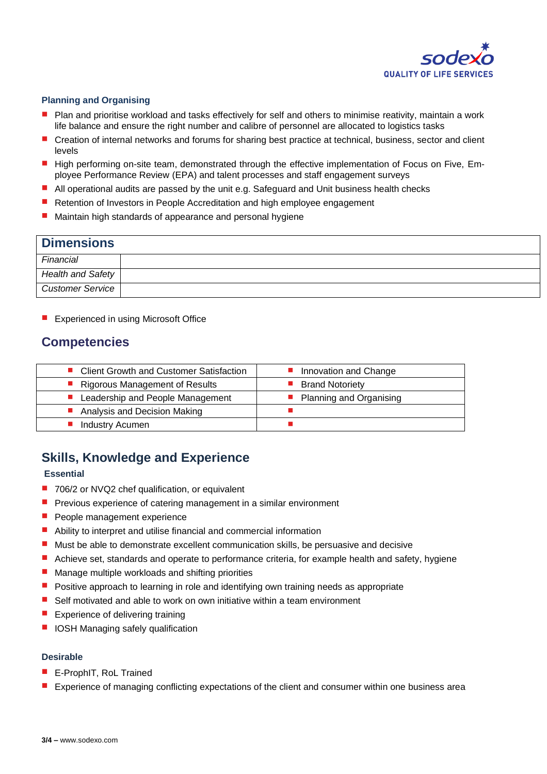

#### **Planning and Organising**

- Plan and prioritise workload and tasks effectively for self and others to minimise reativity, maintain a work life balance and ensure the right number and calibre of personnel are allocated to logistics tasks
- п Creation of internal networks and forums for sharing best practice at technical, business, sector and client levels
- High performing on-site team, demonstrated through the effective implementation of Focus on Five, Employee Performance Review (EPA) and talent processes and staff engagement surveys
- All operational audits are passed by the unit e.g. Safeguard and Unit business health checks
- $\mathcal{L}_{\mathcal{A}}$ Retention of Investors in People Accreditation and high employee engagement
- Maintain high standards of appearance and personal hygiene

## **Dimensions** *Financial Health and Safety Customer Service*

**EXperienced in using Microsoft Office** 

## **Competencies**

| • Client Growth and Customer Satisfaction | Innovation and Change          |
|-------------------------------------------|--------------------------------|
| • Rigorous Management of Results          | <b>Brand Notoriety</b>         |
| ■ Leadership and People Management        | <b>Planning and Organising</b> |
| ■ Analysis and Decision Making            |                                |
| Industry Acumen                           |                                |

## **Skills, Knowledge and Experience**

#### **Essential**

- 706/2 or NVQ2 chef qualification, or equivalent
- $\blacksquare$  Previous experience of catering management in a similar environment
- **People management experience**
- Ability to interpret and utilise financial and commercial information
- $\blacksquare$  Must be able to demonstrate excellent communication skills, be persuasive and decisive
- Achieve set, standards and operate to performance criteria, for example health and safety, hygiene
- $\mathcal{L}_{\mathcal{A}}$ Manage multiple workloads and shifting priorities
- **Positive approach to learning in role and identifying own training needs as appropriate**
- Self motivated and able to work on own initiative within a team environment П
- П Experience of delivering training
- IOSH Managing safely qualification

#### **Desirable**

- E-ProphIT, RoL Trained
- Experience of managing conflicting expectations of the client and consumer within one business area